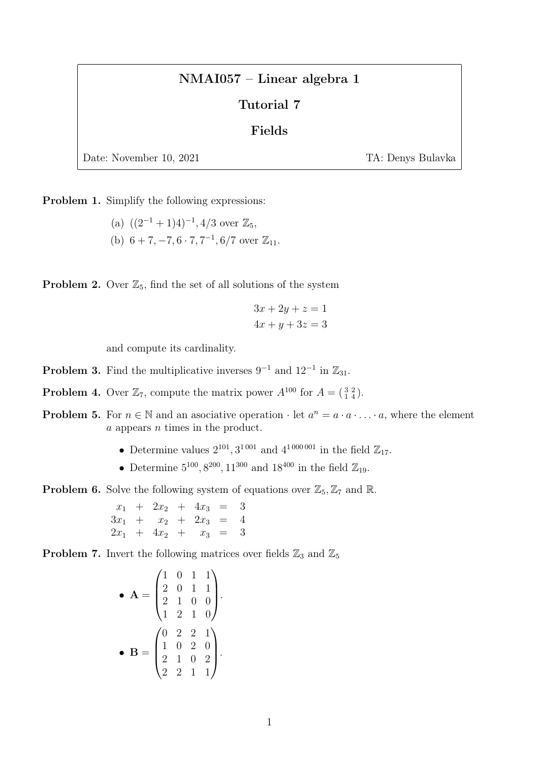## NMAI057 – Linear algebra 1

## Tutorial 7

## Fields

Date: November 10, 2021 TA: Denys Bulavka

Problem 1. Simplify the following expressions:

(a)  $((2^{-1}+1)4)^{-1}$ , 4/3 over  $\mathbb{Z}_5$ , (b)  $6 + 7, -7, 6 \cdot 7, 7^{-1}, 6/7$  over  $\mathbb{Z}_{11}$ .

**Problem 2.** Over  $\mathbb{Z}_5$ , find the set of all solutions of the system

$$
3x + 2y + z = 1
$$

$$
4x + y + 3z = 3
$$

and compute its cardinality.

- **Problem 3.** Find the multiplicative inverses  $9^{-1}$  and  $12^{-1}$  in  $\mathbb{Z}_{31}$ .
- **Problem 4.** Over  $\mathbb{Z}_7$ , compute the matrix power  $A^{100}$  for  $A = \begin{pmatrix} 3 & 2 \\ 1 & 4 \end{pmatrix}$ .
- **Problem 5.** For  $n \in \mathbb{N}$  and an associative operation  $\cdot$  let  $a^n = a \cdot a \cdot \ldots \cdot a$ , where the element a appears n times in the product.
	- Determine values  $2^{101}$ ,  $3^{1001}$  and  $4^{1000001}$  in the field  $\mathbb{Z}_{17}$ .
	- Determine  $5^{100}$ ,  $8^{200}$ ,  $11^{300}$  and  $18^{400}$  in the field  $\mathbb{Z}_{19}$ .

**Problem 6.** Solve the following system of equations over  $\mathbb{Z}_5$ ,  $\mathbb{Z}_7$  and  $\mathbb{R}$ .

 $x_1 + 2x_2 + 4x_3 = 3$  $3x_1 + x_2 + 2x_3 = 4$  $2x_1 + 4x_2 + x_3 = 3$ 

**Problem 7.** Invert the following matrices over fields  $\mathbb{Z}_3$  and  $\mathbb{Z}_5$ 

• 
$$
\mathbf{A} = \begin{pmatrix} 1 & 0 & 1 & 1 \\ 2 & 0 & 1 & 1 \\ 2 & 1 & 0 & 0 \\ 1 & 2 & 1 & 0 \end{pmatrix}.
$$
  
\n•  $\mathbf{B} = \begin{pmatrix} 0 & 2 & 2 & 1 \\ 1 & 0 & 2 & 0 \\ 2 & 1 & 0 & 2 \\ 2 & 2 & 1 & 1 \end{pmatrix}.$